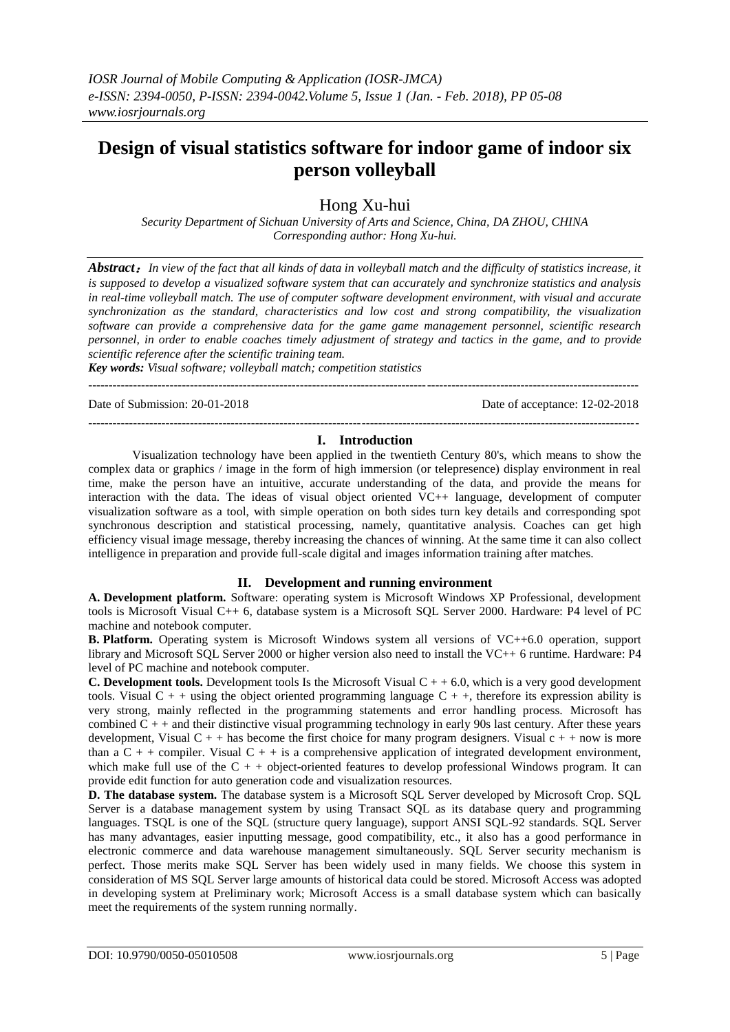# **Design of visual statistics software for indoor game of indoor six person volleyball**

Hong Xu-hui

*Security Department of Sichuan University of Arts and Science, China, DA ZHOU, CHINA Corresponding author: Hong Xu-hui.*

*Abstract*:*In view of the fact that all kinds of data in volleyball match and the difficulty of statistics increase, it is supposed to develop a visualized software system that can accurately and synchronize statistics and analysis in real-time volleyball match. The use of computer software development environment, with visual and accurate synchronization as the standard, characteristics and low cost and strong compatibility, the visualization software can provide a comprehensive data for the game game management personnel, scientific research personnel, in order to enable coaches timely adjustment of strategy and tactics in the game, and to provide scientific reference after the scientific training team.*

*Key words: Visual software; volleyball match; competition statistics*

Date of Submission: 20-01-2018 Date of acceptance: 12-02-2018

---------------------------------------------------------------------------------------------------------------------------------------

#### --------------------------------------------------------------------------------------------------------------------------------------*-* **I. Introduction**

Visualization technology have been applied in the twentieth Century 80's, which means to show the complex data or graphics / image in the form of high immersion (or telepresence) display environment in real time, make the person have an intuitive, accurate understanding of the data, and provide the means for interaction with the data. The ideas of visual object oriented VC++ language, development of computer visualization software as a tool, with simple operation on both sides turn key details and corresponding spot synchronous description and statistical processing, namely, quantitative analysis. Coaches can get high efficiency visual image message, thereby increasing the chances of winning. At the same time it can also collect intelligence in preparation and provide full-scale digital and images information training after matches.

## **II. Development and running environment**

**A. Development platform.** Software: operating system is Microsoft Windows XP Professional, development tools is Microsoft Visual C++ 6, database system is a Microsoft SQL Server 2000. Hardware: P4 level of PC machine and notebook computer.

**B. Platform.** Operating system is Microsoft Windows system all versions of VC++6.0 operation, support library and Microsoft SQL Server 2000 or higher version also need to install the VC++ 6 runtime. Hardware: P4 level of PC machine and notebook computer.

**C. Development tools.** Development tools Is the Microsoft Visual  $C + 6.0$ , which is a very good development tools. Visual  $C + +$  using the object oriented programming language  $C + +$ , therefore its expression ability is very strong, mainly reflected in the programming statements and error handling process. Microsoft has combined  $C + +$  and their distinctive visual programming technology in early 90s last century. After these years development, Visual  $C + +$  has become the first choice for many program designers. Visual  $c + +$  now is more than a  $C + +$  compiler. Visual  $C + +$  is a comprehensive application of integrated development environment, which make full use of the  $C + +$  object-oriented features to develop professional Windows program. It can provide edit function for auto generation code and visualization resources.

**D. The database system.** The database system is a Microsoft SQL Server developed by Microsoft Crop. SQL Server is a database management system by using Transact SQL as its database query and programming languages. TSQL is one of the SQL (structure query language), support ANSI SQL-92 standards. SQL Server has many advantages, easier inputting message, good compatibility, etc., it also has a good performance in electronic commerce and data warehouse management simultaneously. SQL Server security mechanism is perfect. Those merits make SQL Server has been widely used in many fields. We choose this system in consideration of MS SQL Server large amounts of historical data could be stored. Microsoft Access was adopted in developing system at Preliminary work; Microsoft Access is a small database system which can basically meet the requirements of the system running normally.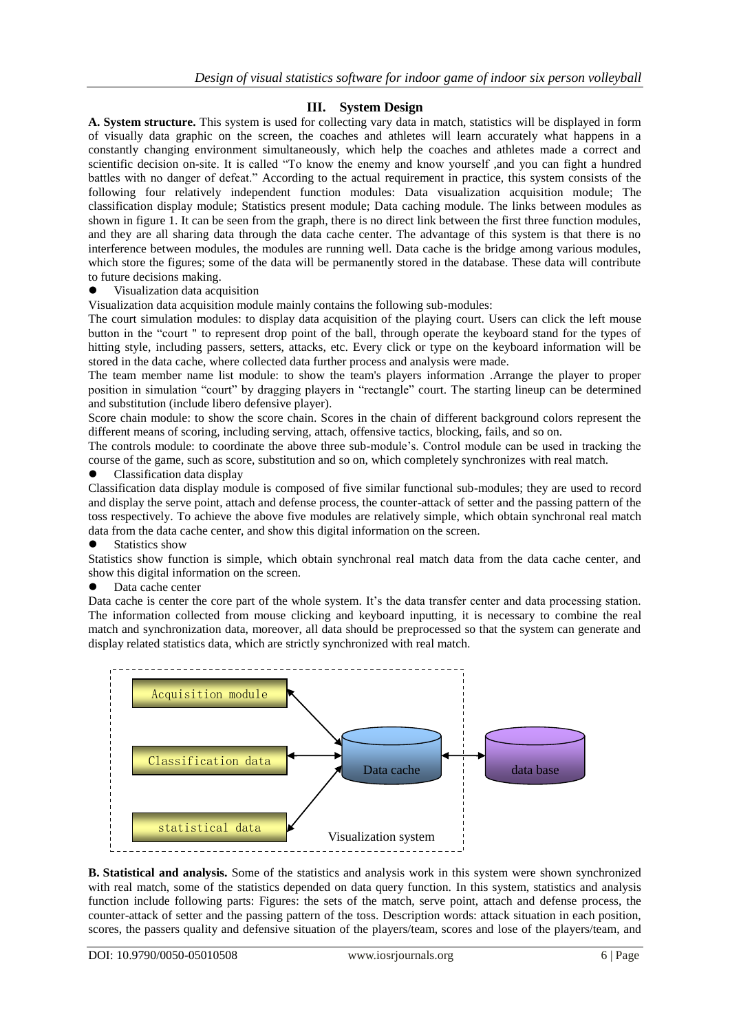# **III. System Design**

**A. System structure.** This system is used for collecting vary data in match, statistics will be displayed in form of visually data graphic on the screen, the coaches and athletes will learn accurately what happens in a constantly changing environment simultaneously, which help the coaches and athletes made a correct and scientific decision on-site. It is called "To know the enemy and know yourself ,and you can fight a hundred battles with no danger of defeat." According to the actual requirement in practice, this system consists of the following four relatively independent function modules: Data visualization acquisition module; The classification display module; Statistics present module; Data caching module. The links between modules as shown in figure 1. It can be seen from the graph, there is no direct link between the first three function modules, and they are all sharing data through the data cache center. The advantage of this system is that there is no interference between modules, the modules are running well. Data cache is the bridge among various modules, which store the figures; some of the data will be permanently stored in the database. These data will contribute to future decisions making.

Visualization data acquisition

Visualization data acquisition module mainly contains the following sub-modules:

The court simulation modules: to display data acquisition of the playing court. Users can click the left mouse button in the "court " to represent drop point of the ball, through operate the keyboard stand for the types of hitting style, including passers, setters, attacks, etc. Every click or type on the keyboard information will be stored in the data cache, where collected data further process and analysis were made.

The team member name list module: to show the team's players information .Arrange the player to proper position in simulation "court" by dragging players in "rectangle" court. The starting lineup can be determined and substitution (include libero defensive player).

Score chain module: to show the score chain. Scores in the chain of different background colors represent the different means of scoring, including serving, attach, offensive tactics, blocking, fails, and so on.

The controls module: to coordinate the above three sub-module's. Control module can be used in tracking the course of the game, such as score, substitution and so on, which completely synchronizes with real match.

Classification data display

Classification data display module is composed of five similar functional sub-modules; they are used to record and display the serve point, attach and defense process, the counter-attack of setter and the passing pattern of the toss respectively. To achieve the above five modules are relatively simple, which obtain synchronal real match data from the data cache center, and show this digital information on the screen.

#### Statistics show

Statistics show function is simple, which obtain synchronal real match data from the data cache center, and show this digital information on the screen.

## Data cache center

Data cache is center the core part of the whole system. It's the data transfer center and data processing station. The information collected from mouse clicking and keyboard inputting, it is necessary to combine the real match and synchronization data, moreover, all data should be preprocessed so that the system can generate and display related statistics data, which are strictly synchronized with real match.



**B. Statistical and analysis.** Some of the statistics and analysis work in this system were shown synchronized with real match, some of the statistics depended on data query function. In this system, statistics and analysis function include following parts: Figures: the sets of the match, serve point, attach and defense process, the counter-attack of setter and the passing pattern of the toss. Description words: attack situation in each position, scores, the passers quality and defensive situation of the players/team, scores and lose of the players/team, and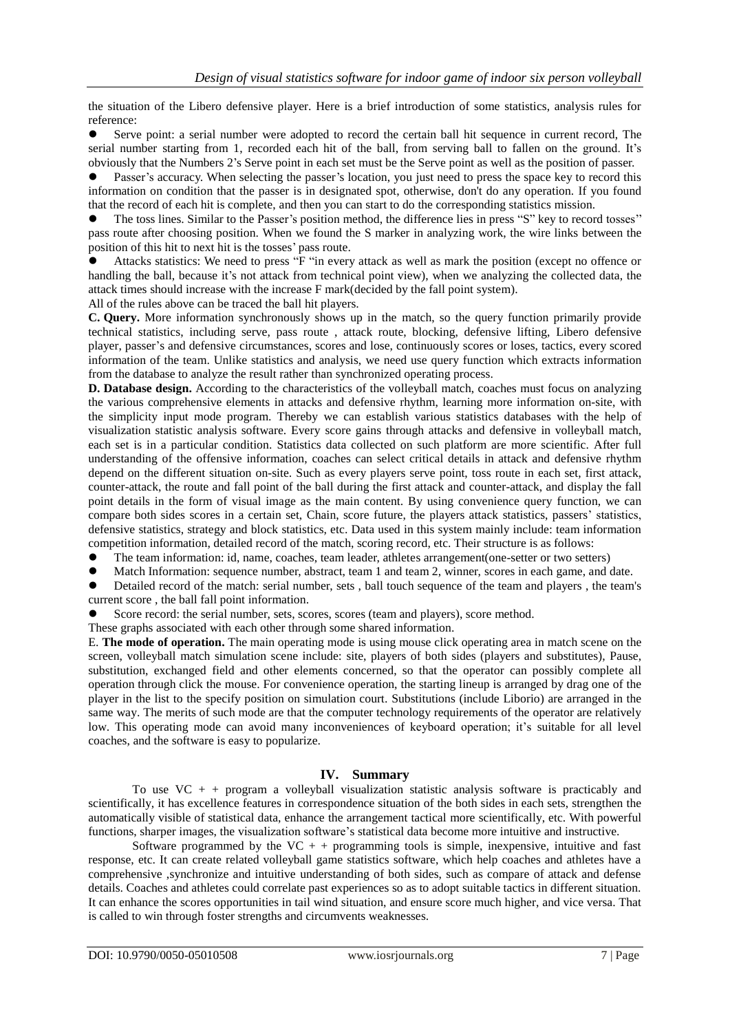the situation of the Libero defensive player. Here is a brief introduction of some statistics, analysis rules for reference:

 Serve point: a serial number were adopted to record the certain ball hit sequence in current record, The serial number starting from 1, recorded each hit of the ball, from serving ball to fallen on the ground. It's obviously that the Numbers 2's Serve point in each set must be the Serve point as well as the position of passer.

 Passer's accuracy. When selecting the passer's location, you just need to press the space key to record this information on condition that the passer is in designated spot, otherwise, don't do any operation. If you found that the record of each hit is complete, and then you can start to do the corresponding statistics mission.

 The toss lines. Similar to the Passer's position method, the difference lies in press "S" key to record tosses'' pass route after choosing position. When we found the S marker in analyzing work, the wire links between the position of this hit to next hit is the tosses' pass route.

 Attacks statistics: We need to press "F "in every attack as well as mark the position (except no offence or handling the ball, because it's not attack from technical point view), when we analyzing the collected data, the attack times should increase with the increase F mark(decided by the fall point system).

All of the rules above can be traced the ball hit players.

**C. Query.** More information synchronously shows up in the match, so the query function primarily provide technical statistics, including serve, pass route , attack route, blocking, defensive lifting, Libero defensive player, passer's and defensive circumstances, scores and lose, continuously scores or loses, tactics, every scored information of the team. Unlike statistics and analysis, we need use query function which extracts information from the database to analyze the result rather than synchronized operating process.

**D. Database design.** According to the characteristics of the volleyball match, coaches must focus on analyzing the various comprehensive elements in attacks and defensive rhythm, learning more information on-site, with the simplicity input mode program. Thereby we can establish various statistics databases with the help of visualization statistic analysis software. Every score gains through attacks and defensive in volleyball match, each set is in a particular condition. Statistics data collected on such platform are more scientific. After full understanding of the offensive information, coaches can select critical details in attack and defensive rhythm depend on the different situation on-site. Such as every players serve point, toss route in each set, first attack, counter-attack, the route and fall point of the ball during the first attack and counter-attack, and display the fall point details in the form of visual image as the main content. By using convenience query function, we can compare both sides scores in a certain set, Chain, score future, the players attack statistics, passers' statistics, defensive statistics, strategy and block statistics, etc. Data used in this system mainly include: team information competition information, detailed record of the match, scoring record, etc. Their structure is as follows:

- The team information: id, name, coaches, team leader, athletes arrangement(one-setter or two setters)
- Match Information: sequence number, abstract, team 1 and team 2, winner, scores in each game, and date.
- Detailed record of the match: serial number, sets , ball touch sequence of the team and players , the team's current score , the ball fall point information.
- Score record: the serial number, sets, scores, scores (team and players), score method.

These graphs associated with each other through some shared information.

E. **The mode of operation.** The main operating mode is using mouse click operating area in match scene on the screen, volleyball match simulation scene include: site, players of both sides (players and substitutes), Pause, substitution, exchanged field and other elements concerned, so that the operator can possibly complete all operation through click the mouse. For convenience operation, the starting lineup is arranged by drag one of the player in the list to the specify position on simulation court. Substitutions (include Liborio) are arranged in the same way. The merits of such mode are that the computer technology requirements of the operator are relatively low. This operating mode can avoid many inconveniences of keyboard operation; it's suitable for all level coaches, and the software is easy to popularize.

## **IV. Summary**

To use  $VC + +$  program a volleyball visualization statistic analysis software is practicably and scientifically, it has excellence features in correspondence situation of the both sides in each sets, strengthen the automatically visible of statistical data, enhance the arrangement tactical more scientifically, etc. With powerful functions, sharper images, the visualization software's statistical data become more intuitive and instructive.

Software programmed by the  $VC + +$  programming tools is simple, inexpensive, intuitive and fast response, etc. It can create related volleyball game statistics software, which help coaches and athletes have a comprehensive ,synchronize and intuitive understanding of both sides, such as compare of attack and defense details. Coaches and athletes could correlate past experiences so as to adopt suitable tactics in different situation. It can enhance the scores opportunities in tail wind situation, and ensure score much higher, and vice versa. That is called to win through foster strengths and circumvents weaknesses.